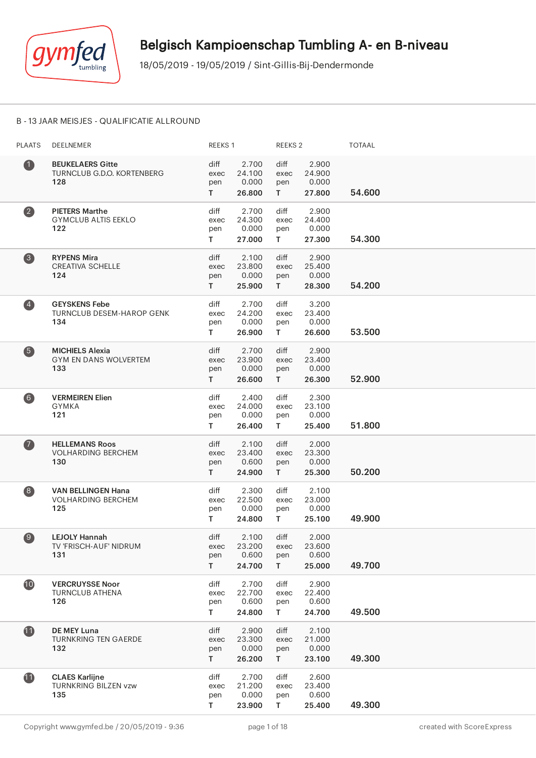

18/05/2019 - 19/05/2019 / Sint-Gillis-Bij-Dendermonde

### B - 13 JAAR MEISJES - QUALIFICATIE ALLROUND

| <b>PLAATS</b>                           | DEELNEMER                                                       | REEKS 1                   |                                    | <b>REEKS 2</b>            |                                    | <b>TOTAAL</b> |
|-----------------------------------------|-----------------------------------------------------------------|---------------------------|------------------------------------|---------------------------|------------------------------------|---------------|
| $\bf 0$                                 | <b>BEUKELAERS Gitte</b><br>TURNCLUB G.D.O. KORTENBERG<br>128    | diff<br>exec<br>pen<br>T. | 2.700<br>24.100<br>0.000<br>26.800 | diff<br>exec<br>pen<br>T. | 2.900<br>24.900<br>0.000<br>27.800 | 54.600        |
| $\overline{\mathbf{2}}$                 | <b>PIETERS Marthe</b><br><b>GYMCLUB ALTIS EEKLO</b><br>122      | diff<br>exec<br>pen<br>T. | 2.700<br>24.300<br>0.000<br>27.000 | diff<br>exec<br>pen<br>T. | 2.900<br>24.400<br>0.000<br>27.300 | 54.300        |
| 3                                       | <b>RYPENS Mira</b><br><b>CREATIVA SCHELLE</b><br>124            | diff<br>exec<br>pen<br>T. | 2.100<br>23.800<br>0.000<br>25.900 | diff<br>exec<br>pen<br>T. | 2.900<br>25.400<br>0.000<br>28.300 | 54.200        |
| $\overline{\mathbf{A}}$                 | <b>GEYSKENS Febe</b><br><b>TURNCLUB DESEM-HAROP GENK</b><br>134 | diff<br>exec<br>pen<br>T. | 2.700<br>24.200<br>0.000<br>26.900 | diff<br>exec<br>pen<br>T. | 3.200<br>23.400<br>0.000<br>26.600 | 53.500        |
| 6                                       | <b>MICHIELS Alexia</b><br><b>GYM EN DANS WOLVERTEM</b><br>133   | diff<br>exec<br>pen<br>T. | 2.700<br>23.900<br>0.000<br>26.600 | diff<br>exec<br>pen<br>T. | 2.900<br>23.400<br>0.000<br>26.300 | 52.900        |
| 6)                                      | <b>VERMEIREN Elien</b><br><b>GYMKA</b><br>121                   | diff<br>exec<br>pen<br>T. | 2.400<br>24.000<br>0.000<br>26.400 | diff<br>exec<br>pen<br>T. | 2.300<br>23.100<br>0.000<br>25.400 | 51.800        |
| $\bullet$                               | <b>HELLEMANS Roos</b><br><b>VOLHARDING BERCHEM</b><br>130       | diff<br>exec<br>pen<br>T  | 2.100<br>23.400<br>0.600<br>24.900 | diff<br>exec<br>pen<br>T. | 2.000<br>23.300<br>0.000<br>25.300 | 50.200        |
| $\begin{array}{c} \hline 8 \end{array}$ | <b>VAN BELLINGEN Hana</b><br><b>VOLHARDING BERCHEM</b><br>125   | diff<br>exec<br>pen<br>T. | 2.300<br>22.500<br>0.000<br>24.800 | diff<br>exec<br>pen<br>T. | 2.100<br>23.000<br>0.000<br>25.100 | 49.900        |
| $\circledcirc$                          | <b>LEJOLY Hannah</b><br>TV 'FRISCH-AUF' NIDRUM<br>131           | diff<br>exec<br>pen<br>T. | 2.100<br>23.200<br>0.600<br>24.700 | diff<br>exec<br>pen<br>T. | 2.000<br>23.600<br>0.600<br>25.000 | 49.700        |
| 10                                      | <b>VERCRUYSSE Noor</b><br><b>TURNCLUB ATHENA</b><br>126         | diff<br>exec<br>pen<br>T. | 2.700<br>22.700<br>0.600<br>24.800 | diff<br>exec<br>pen<br>T. | 2.900<br>22.400<br>0.600<br>24.700 | 49.500        |
| 1                                       | <b>DE MEY Luna</b><br><b>TURNKRING TEN GAERDE</b><br>132        | diff<br>exec<br>pen<br>T. | 2.900<br>23.300<br>0.000<br>26.200 | diff<br>exec<br>pen<br>T. | 2.100<br>21.000<br>0.000<br>23.100 | 49.300        |
| 1                                       | <b>CLAES Karlijne</b><br><b>TURNKRING BILZEN vzw</b><br>135     | diff<br>exec<br>pen<br>T. | 2.700<br>21.200<br>0.000<br>23.900 | diff<br>exec<br>pen<br>T  | 2.600<br>23.400<br>0.600<br>25.400 | 49.300        |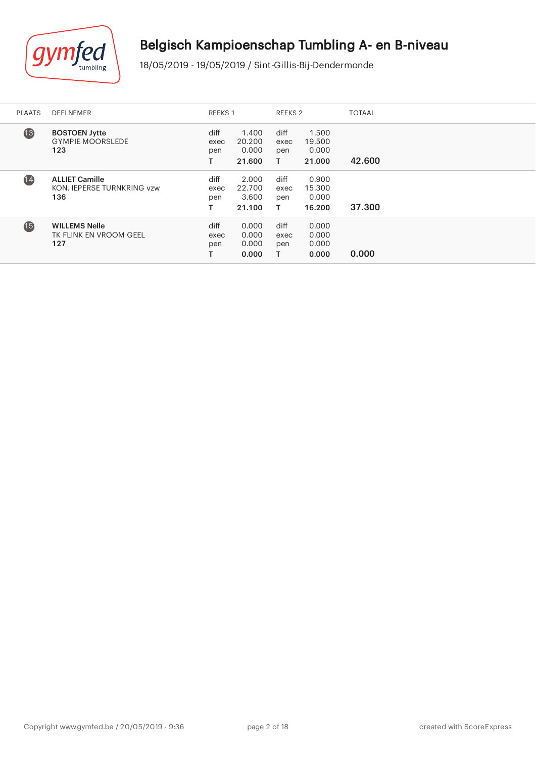

| <b>PLAATS</b>   | <b>DEELNEMER</b>                                           | REEKS 1             |                                    | REEKS 2                  |                                    | <b>TOTAAL</b> |
|-----------------|------------------------------------------------------------|---------------------|------------------------------------|--------------------------|------------------------------------|---------------|
| $\overline{13}$ | <b>BOSTOEN Jytte</b><br><b>GYMPIE MOORSLEDE</b><br>123     | diff<br>exec<br>pen | 1.400<br>20.200<br>0.000<br>21.600 | diff<br>exec<br>pen<br>т | 1.500<br>19.500<br>0.000<br>21.000 | 42.600        |
| (14)            | <b>ALLIET Camille</b><br>KON. IEPERSE TURNKRING vzw<br>136 | diff<br>exec<br>pen | 2.000<br>22.700<br>3.600<br>21.100 | diff<br>exec<br>pen<br>т | 0.900<br>15.300<br>0.000<br>16.200 | 37.300        |
| <b>15</b>       | <b>WILLEMS Nelle</b><br>TK FLINK EN VROOM GEEL<br>127      | diff<br>exec<br>pen | 0.000<br>0.000<br>0.000<br>0.000   | diff<br>exec<br>pen<br>т | 0.000<br>0.000<br>0.000<br>0.000   | 0.000         |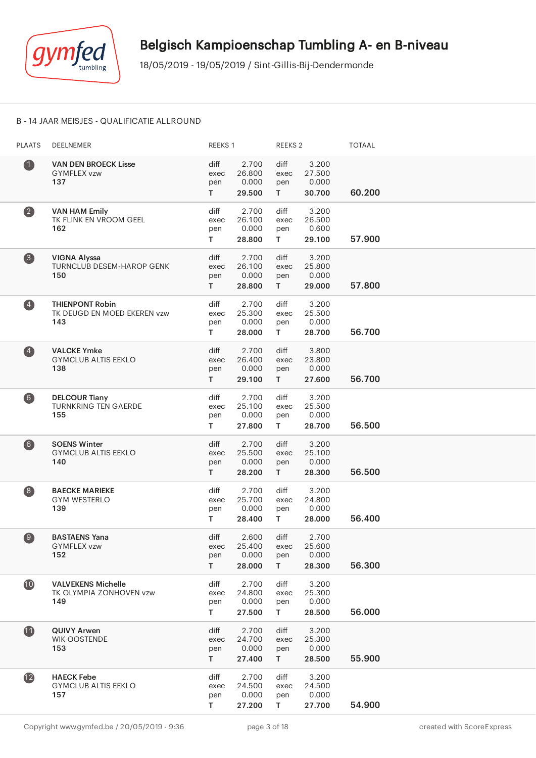

18/05/2019 - 19/05/2019 / Sint-Gillis-Bij-Dendermonde

### B - 14 JAAR MEISJES - QUALIFICATIE ALLROUND

| <b>PLAATS</b>           | DEELNEMER                                                      | REEKS 1                   |                                    | REEKS <sub>2</sub>        |                                    | <b>TOTAAL</b> |
|-------------------------|----------------------------------------------------------------|---------------------------|------------------------------------|---------------------------|------------------------------------|---------------|
| $\bf 0$                 | <b>VAN DEN BROECK Lisse</b><br><b>GYMFLEX vzw</b><br>137       | diff<br>exec<br>pen<br>T. | 2.700<br>26.800<br>0.000<br>29.500 | diff<br>exec<br>pen<br>T. | 3.200<br>27.500<br>0.000<br>30.700 | 60.200        |
| $\overline{\mathbf{2}}$ | <b>VAN HAM Emily</b><br>TK FLINK EN VROOM GEEL<br>162          | diff<br>exec<br>pen<br>T. | 2.700<br>26.100<br>0.000<br>28.800 | diff<br>exec<br>pen<br>T. | 3.200<br>26.500<br>0.600<br>29.100 | 57.900        |
| 8                       | <b>VIGNA Alyssa</b><br><b>TURNCLUB DESEM-HAROP GENK</b><br>150 | diff<br>exec<br>pen<br>T. | 2.700<br>26.100<br>0.000<br>28.800 | diff<br>exec<br>pen<br>T. | 3.200<br>25.800<br>0.000<br>29.000 | 57.800        |
| $\overline{\mathbf{A}}$ | <b>THIENPONT Robin</b><br>TK DEUGD EN MOED EKEREN vzw<br>143   | diff<br>exec<br>pen<br>T. | 2.700<br>25.300<br>0.000<br>28.000 | diff<br>exec<br>pen<br>T. | 3.200<br>25.500<br>0.000<br>28.700 | 56.700        |
| $\overline{\mathbf{A}}$ | <b>VALCKE Ymke</b><br><b>GYMCLUB ALTIS EEKLO</b><br>138        | diff<br>exec<br>pen<br>T. | 2.700<br>26.400<br>0.000<br>29.100 | diff<br>exec<br>pen<br>T. | 3.800<br>23.800<br>0.000<br>27.600 | 56.700        |
| 6)                      | <b>DELCOUR Tiany</b><br><b>TURNKRING TEN GAERDE</b><br>155     | diff<br>exec<br>pen<br>T. | 2.700<br>25.100<br>0.000<br>27.800 | diff<br>exec<br>pen<br>T. | 3.200<br>25.500<br>0.000<br>28.700 | 56.500        |
| $\bullet$               | <b>SOENS Winter</b><br><b>GYMCLUB ALTIS EEKLO</b><br>140       | diff<br>exec<br>pen<br>T  | 2.700<br>25.500<br>0.000<br>28.200 | diff<br>exec<br>pen<br>T. | 3.200<br>25.100<br>0.000<br>28.300 | 56.500        |
| $\bullet$               | <b>BAECKE MARIEKE</b><br><b>GYM WESTERLO</b><br>139            | diff<br>exec<br>pen<br>T. | 2.700<br>25.700<br>0.000<br>28.400 | diff<br>exec<br>pen<br>T. | 3.200<br>24.800<br>0.000<br>28.000 | 56.400        |
| $\bigcirc$              | <b>BASTAENS Yana</b><br><b>GYMFLEX vzw</b><br>152              | diff<br>exec<br>pen<br>T. | 2.600<br>25.400<br>0.000<br>28.000 | diff<br>exec<br>pen<br>T. | 2.700<br>25.600<br>0.000<br>28.300 | 56.300        |
| 10                      | <b>VALVEKENS Michelle</b><br>TK OLYMPIA ZONHOVEN vzw<br>149    | diff<br>exec<br>pen<br>T. | 2.700<br>24.800<br>0.000<br>27.500 | diff<br>exec<br>pen<br>T. | 3.200<br>25.300<br>0.000<br>28.500 | 56.000        |
| 10                      | <b>QUIVY Arwen</b><br><b>WIK OOSTENDE</b><br>153               | diff<br>exec<br>pen<br>T. | 2.700<br>24.700<br>0.000<br>27.400 | diff<br>exec<br>pen<br>T. | 3.200<br>25.300<br>0.000<br>28.500 | 55.900        |
| $\overline{12}$         | <b>HAECK Febe</b><br><b>GYMCLUB ALTIS EEKLO</b><br>157         | diff<br>exec<br>pen<br>T. | 2.700<br>24.500<br>0.000<br>27.200 | diff<br>exec<br>pen<br>T. | 3.200<br>24.500<br>0.000<br>27.700 | 54.900        |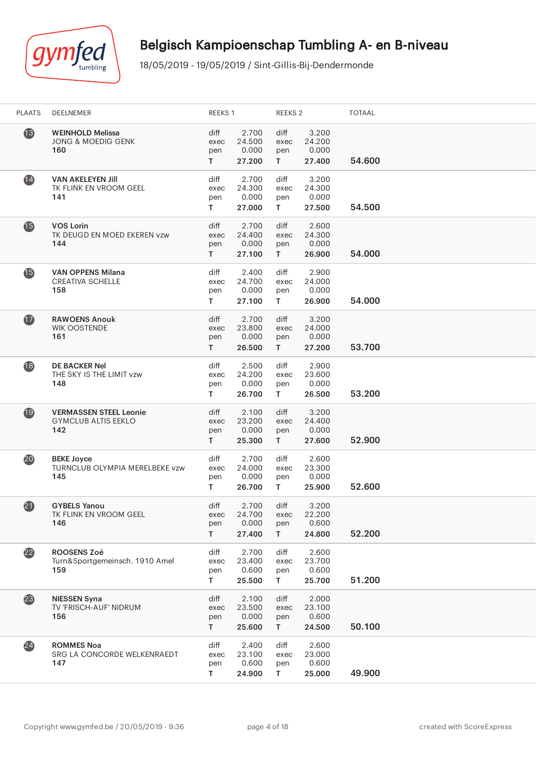

| <b>PLAATS</b>            | DEELNEMER                                                          | REEKS 1                   |                                         | REEKS <sub>2</sub>                  |                                    | <b>TOTAAL</b> |
|--------------------------|--------------------------------------------------------------------|---------------------------|-----------------------------------------|-------------------------------------|------------------------------------|---------------|
| $\overline{13}$          | <b>WEINHOLD Melissa</b><br><b>JONG &amp; MOEDIG GENK</b><br>160    | diff<br>exec<br>pen<br>T. | 2.700<br>24.500<br>0.000<br>27.200      | diff<br>exec<br>pen<br>T.           | 3.200<br>24.200<br>0.000<br>27.400 | 54.600        |
| $\overline{14}$          | <b>VAN AKELEYEN Jill</b><br>TK FLINK EN VROOM GEEL<br>141          | diff<br>exec<br>pen<br>T. | 2.700<br>24.300<br>0.000<br>27.000      | diff<br>exec<br>pen<br>T.           | 3.200<br>24.300<br>0.000<br>27.500 | 54.500        |
| <b>15</b>                | <b>VOS Lorin</b><br>TK DEUGD EN MOED EKEREN vzw<br>144             | diff<br>exec<br>pen<br>T. | 2.700<br>24.400<br>0.000<br>27.100      | diff<br>exec<br>pen<br>$\mathsf{T}$ | 2.600<br>24.300<br>0.000<br>26.900 | 54.000        |
| $\overline{\mathbf{15}}$ | <b>VAN OPPENS Milana</b><br>CREATIVA SCHELLE<br>158                | diff<br>exec<br>pen<br>T. | 2.400<br>24.700<br>0.000<br>27.100      | diff<br>exec<br>pen<br>T.           | 2.900<br>24.000<br>0.000<br>26.900 | 54.000        |
| $\mathbf{1}$             | <b>RAWOENS Anouk</b><br><b>WIK OOSTENDE</b><br>161                 | diff<br>exec<br>pen<br>T. | 2.700<br>23.800<br>0.000<br>26.500      | diff<br>exec<br>pen<br>T.           | 3.200<br>24.000<br>0.000<br>27.200 | 53.700        |
| $\overline{18}$          | <b>DE BACKER Nel</b><br>THE SKY IS THE LIMIT vzw<br>148            | diff<br>exec<br>pen<br>T. | 2.500<br>24.200<br>0.000<br>26.700      | diff<br>exec<br>pen<br>T            | 2.900<br>23.600<br>0.000<br>26.500 | 53.200        |
| 19                       | <b>VERMASSEN STEEL Leonie</b><br><b>GYMCLUB ALTIS EEKLO</b><br>142 | diff<br>exec<br>pen<br>T. | 2.100<br>23.200<br>0.000<br>25.300      | diff<br>exec<br>pen<br>T.           | 3.200<br>24.400<br>0.000<br>27.600 | 52.900        |
| (20)                     | <b>BEKE Joyce</b><br><b>TURNCLUB OLYMPIA MERELBEKE vzw</b><br>145  | diff<br>exec<br>pen<br>T. | 2.700<br>24.000<br>0.000<br>26.700      | diff<br>exec<br>pen<br>T.           | 2.600<br>23.300<br>0.000<br>25.900 | 52.600        |
| 4                        | <b>GYBELS Yanou</b><br>TK FLINK EN VROOM GEEL<br>146               | diff<br>exec<br>pen<br>T. | 2.700 diff<br>24.700<br>0.000<br>27.400 | exec<br>pen<br>T                    | 3.200<br>22.200<br>0.600<br>24.800 | 52.200        |
| (22)                     | <b>ROOSENS Zoé</b><br>Turn&Sportgemeinsch. 1910 Amel<br>159        | diff<br>exec<br>pen<br>T. | 2.700<br>23.400<br>0.600<br>25.500      | diff<br>exec<br>pen<br>T.           | 2.600<br>23.700<br>0.600<br>25.700 | 51.200        |
| 23                       | <b>NIESSEN Syna</b><br>TV 'FRISCH-AUF' NIDRUM<br>156               | diff<br>exec<br>pen<br>T. | 2.100<br>23.500<br>0.000<br>25.600      | diff<br>exec<br>pen<br>T.           | 2.000<br>23.100<br>0.600<br>24.500 | 50.100        |
| (24)                     | <b>ROMMES Noa</b><br>SRG LA CONCORDE WELKENRAEDT<br>147            | diff<br>exec<br>pen<br>T. | 2.400<br>23.100<br>0.600<br>24.900      | diff<br>exec<br>pen<br>T.           | 2.600<br>23.000<br>0.600<br>25.000 | 49.900        |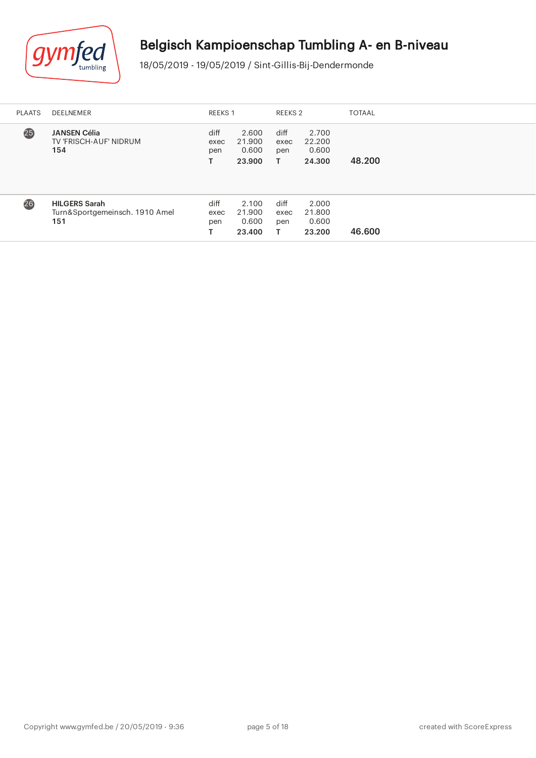

| <b>PLAATS</b> | <b>DEELNEMER</b>                                              | <b>REEKS1</b>            |                                    | REEKS 2                  |                                    | <b>TOTAAL</b> |
|---------------|---------------------------------------------------------------|--------------------------|------------------------------------|--------------------------|------------------------------------|---------------|
| 25            | <b>JANSEN Célia</b><br>TV 'FRISCH-AUF' NIDRUM<br>154          | diff<br>exec<br>pen<br>т | 2.600<br>21.900<br>0.600<br>23.900 | diff<br>exec<br>pen<br>т | 2.700<br>22,200<br>0.600<br>24.300 | 48.200        |
| 26            | <b>HILGERS Sarah</b><br>Turn&Sportgemeinsch. 1910 Amel<br>151 | diff<br>exec<br>pen<br>T | 2.100<br>21.900<br>0.600<br>23.400 | diff<br>exec<br>pen<br>Τ | 2.000<br>21.800<br>0.600<br>23.200 | 46.600        |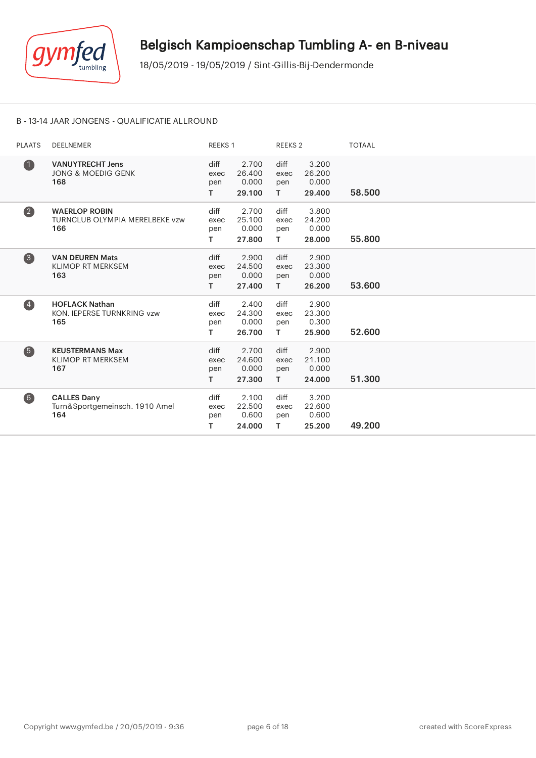

### B - 13-14 JAAR JONGENS - QUALIFICATIE ALLROUND

| <b>PLAATS</b>                                  | <b>DEELNEMER</b>                                                | REEKS 1                   |                                    | REEKS <sub>2</sub>        |                                    | <b>TOTAAL</b> |
|------------------------------------------------|-----------------------------------------------------------------|---------------------------|------------------------------------|---------------------------|------------------------------------|---------------|
| $\bullet$                                      | <b>VANUYTRECHT Jens</b><br><b>JONG &amp; MOEDIG GENK</b><br>168 | diff<br>exec<br>pen<br>T. | 2.700<br>26.400<br>0.000<br>29.100 | diff<br>exec<br>pen<br>T. | 3.200<br>26.200<br>0.000<br>29,400 | 58.500        |
| $\overline{\mathbf{2}}$                        | <b>WAERLOP ROBIN</b><br>TURNCLUB OLYMPIA MERELBEKE vzw<br>166   | diff<br>exec<br>pen<br>T. | 2.700<br>25.100<br>0.000<br>27.800 | diff<br>exec<br>pen<br>T. | 3.800<br>24.200<br>0.000<br>28.000 | 55.800        |
| 3                                              | <b>VAN DEUREN Mats</b><br><b>KLIMOP RT MERKSEM</b><br>163       | diff<br>exec<br>pen<br>T. | 2.900<br>24.500<br>0.000<br>27.400 | diff<br>exec<br>pen<br>T. | 2.900<br>23.300<br>0.000<br>26.200 | 53.600        |
| $\left( \begin{matrix} 4 \end{matrix} \right)$ | <b>HOFLACK Nathan</b><br>KON. IEPERSE TURNKRING vzw<br>165      | diff<br>exec<br>pen<br>T. | 2.400<br>24.300<br>0.000<br>26.700 | diff<br>exec<br>pen<br>T. | 2.900<br>23.300<br>0.300<br>25,900 | 52.600        |
| 6                                              | <b>KEUSTERMANS Max</b><br><b>KLIMOP RT MERKSEM</b><br>167       | diff<br>exec<br>pen<br>T. | 2.700<br>24.600<br>0.000<br>27.300 | diff<br>exec<br>pen<br>T  | 2.900<br>21.100<br>0.000<br>24.000 | 51.300        |
| 6)                                             | <b>CALLES Dany</b><br>Turn&Sportgemeinsch. 1910 Amel<br>164     | diff<br>exec<br>pen<br>T. | 2.100<br>22.500<br>0.600<br>24.000 | diff<br>exec<br>pen<br>T. | 3.200<br>22.600<br>0.600<br>25.200 | 49.200        |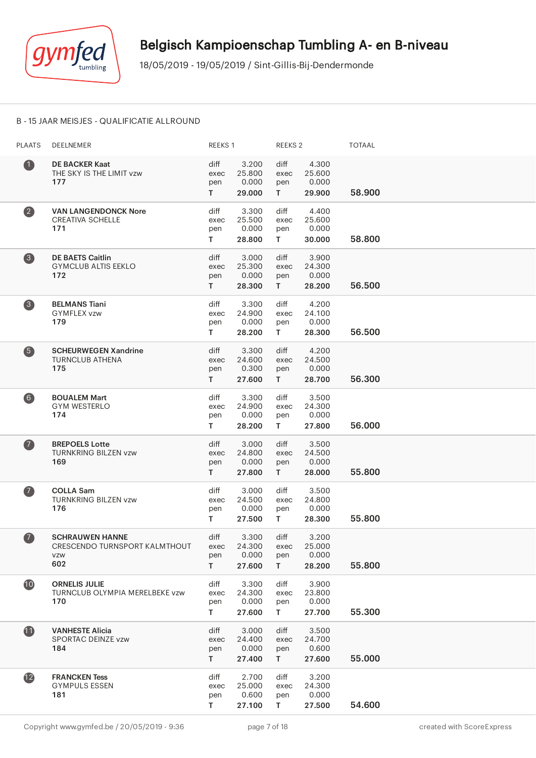

18/05/2019 - 19/05/2019 / Sint-Gillis-Bij-Dendermonde

### B - 15 JAAR MEISJES - QUALIFICATIE ALLROUND

| <b>PLAATS</b>           | DEELNEMER                                                             | REEKS 1                   |                                    | REEKS <sub>2</sub>        |                                    | <b>TOTAAL</b> |
|-------------------------|-----------------------------------------------------------------------|---------------------------|------------------------------------|---------------------------|------------------------------------|---------------|
| $\bf 0$                 | <b>DE BACKER Kaat</b><br>THE SKY IS THE LIMIT vzw<br>177              | diff<br>exec<br>pen<br>T. | 3.200<br>25.800<br>0.000<br>29.000 | diff<br>exec<br>pen<br>T. | 4.300<br>25.600<br>0.000<br>29.900 | 58.900        |
| $\overline{\mathbf{2}}$ | <b>VAN LANGENDONCK Nore</b><br><b>CREATIVA SCHELLE</b><br>171         | diff<br>exec<br>pen<br>T. | 3.300<br>25.500<br>0.000<br>28.800 | diff<br>exec<br>pen<br>T. | 4.400<br>25.600<br>0.000<br>30.000 | 58.800        |
| 8                       | <b>DE BAETS Caitlin</b><br><b>GYMCLUB ALTIS EEKLO</b><br>172          | diff<br>exec<br>pen<br>T. | 3.000<br>25.300<br>0.000<br>28.300 | diff<br>exec<br>pen<br>T. | 3.900<br>24.300<br>0.000<br>28.200 | 56.500        |
| $\bullet$               | <b>BELMANS Tiani</b><br><b>GYMFLEX vzw</b><br>179                     | diff<br>exec<br>pen<br>T. | 3.300<br>24.900<br>0.000<br>28.200 | diff<br>exec<br>pen<br>T. | 4.200<br>24.100<br>0.000<br>28.300 | 56.500        |
| 6                       | <b>SCHEURWEGEN Xandrine</b><br><b>TURNCLUB ATHENA</b><br>175          | diff<br>exec<br>pen<br>T. | 3.300<br>24.600<br>0.300<br>27.600 | diff<br>exec<br>pen<br>T. | 4.200<br>24.500<br>0.000<br>28.700 | 56.300        |
| 6)                      | <b>BOUALEM Mart</b><br><b>GYM WESTERLO</b><br>174                     | diff<br>exec<br>pen<br>T. | 3.300<br>24.900<br>0.000<br>28.200 | diff<br>exec<br>pen<br>T. | 3.500<br>24.300<br>0.000<br>27.800 | 56.000        |
| $\bullet$               | <b>BREPOELS Lotte</b><br><b>TURNKRING BILZEN vzw</b><br>169           | diff<br>exec<br>pen<br>T. | 3.000<br>24.800<br>0.000<br>27.800 | diff<br>exec<br>pen<br>T. | 3.500<br>24.500<br>0.000<br>28.000 | 55.800        |
| $\bullet$               | <b>COLLA Sam</b><br>TURNKRING BILZEN vzw<br>176                       | diff<br>exec<br>pen<br>T. | 3.000<br>24.500<br>0.000<br>27.500 | diff<br>exec<br>pen<br>T. | 3.500<br>24.800<br>0.000<br>28.300 | 55.800        |
| $\bullet$               | <b>SCHRAUWEN HANNE</b><br>CRESCENDO TURNSPORT KALMTHOUT<br>VZW<br>602 | diff<br>exec<br>pen<br>T. | 3.300<br>24.300<br>0.000<br>27.600 | diff<br>exec<br>pen<br>T. | 3.200<br>25.000<br>0.000<br>28.200 | 55.800        |
| 10                      | <b>ORNELIS JULIE</b><br>TURNCLUB OLYMPIA MERELBEKE vzw<br>170         | diff<br>exec<br>pen<br>T. | 3.300<br>24.300<br>0.000<br>27.600 | diff<br>exec<br>pen<br>T. | 3.900<br>23.800<br>0.000<br>27.700 | 55.300        |
| $\bf \bm 1$             | <b>VANHESTE Alicia</b><br><b>SPORTAC DEINZE vzw</b><br>184            | diff<br>exec<br>pen<br>T. | 3.000<br>24.400<br>0.000<br>27.400 | diff<br>exec<br>pen<br>T. | 3.500<br>24.700<br>0.600<br>27.600 | 55.000        |
| $\mathbf{12}$           | <b>FRANCKEN Tess</b><br><b>GYMPULS ESSEN</b><br>181                   | diff<br>exec<br>pen<br>T. | 2.700<br>25.000<br>0.600<br>27.100 | diff<br>exec<br>pen<br>T. | 3.200<br>24.300<br>0.000<br>27.500 | 54.600        |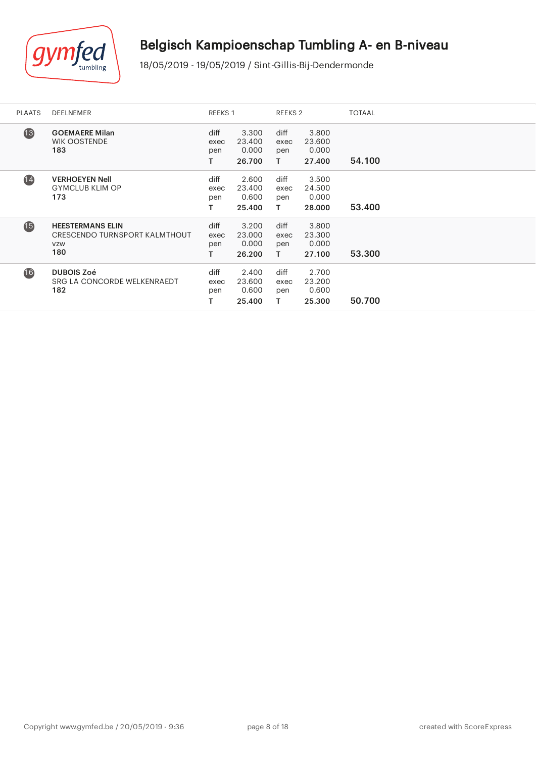

ł

## Belgisch Kampioenschap Tumbling A- en B-niveau

| <b>PLAATS</b>   | DEELNEMER                                                                     | REEKS 1                  |                                    | REEKS 2                   |                                    | <b>TOTAAL</b> |
|-----------------|-------------------------------------------------------------------------------|--------------------------|------------------------------------|---------------------------|------------------------------------|---------------|
| 13              | <b>GOEMAERE Milan</b><br><b>WIK OOSTENDE</b><br>183                           | diff<br>exec<br>pen<br>т | 3.300<br>23.400<br>0.000<br>26.700 | diff<br>exec<br>pen<br>T. | 3.800<br>23.600<br>0.000<br>27.400 | 54.100        |
| $\overline{14}$ | <b>VERHOEYEN Nell</b><br><b>GYMCLUB KLIM OP</b><br>173                        | diff<br>exec<br>pen      | 2.600<br>23.400<br>0.600<br>25.400 | diff<br>exec<br>pen<br>т  | 3.500<br>24.500<br>0.000<br>28.000 | 53.400        |
| <b>15</b>       | <b>HEESTERMANS ELIN</b><br>CRESCENDO TURNSPORT KALMTHOUT<br><b>VZW</b><br>180 | diff<br>exec<br>pen<br>т | 3.200<br>23.000<br>0.000<br>26.200 | diff<br>exec<br>pen<br>т  | 3.800<br>23.300<br>0.000<br>27.100 | 53.300        |
| (16)            | <b>DUBOIS Zoé</b><br>SRG LA CONCORDE WELKENRAEDT<br>182                       | diff<br>exec<br>pen      | 2.400<br>23.600<br>0.600<br>25.400 | diff<br>exec<br>pen<br>T. | 2.700<br>23.200<br>0.600<br>25.300 | 50.700        |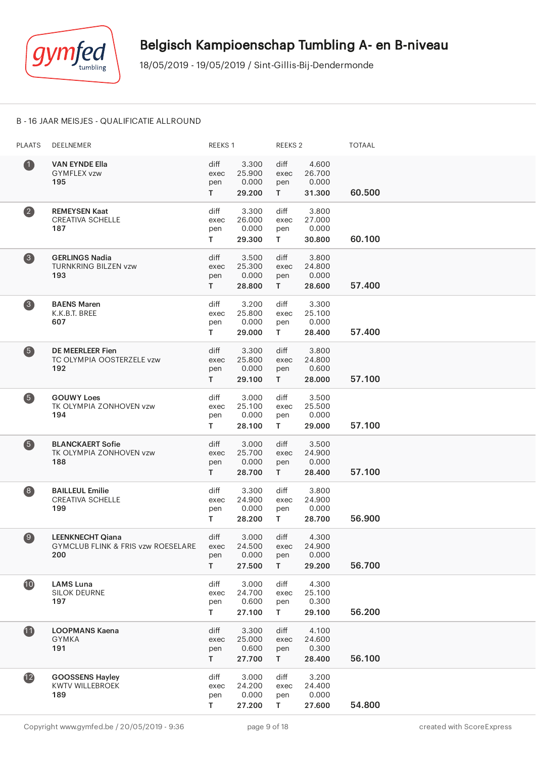

### B - 16 JAAR MEISJES - QUALIFICATIE ALLROUND

| <b>PLAATS</b>           | DEELNEMER                                                            | REEKS 1                   |                                    | REEKS <sub>2</sub>        |                                    | <b>TOTAAL</b> |
|-------------------------|----------------------------------------------------------------------|---------------------------|------------------------------------|---------------------------|------------------------------------|---------------|
| $\bf 0$                 | <b>VAN EYNDE Ella</b><br><b>GYMFLEX vzw</b><br>195                   | diff<br>exec<br>pen<br>T. | 3.300<br>25.900<br>0.000<br>29.200 | diff<br>exec<br>pen<br>T. | 4.600<br>26.700<br>0.000<br>31.300 | 60.500        |
| $\overline{\mathbf{2}}$ | <b>REMEYSEN Kaat</b><br><b>CREATIVA SCHELLE</b><br>187               | diff<br>exec<br>pen<br>T. | 3.300<br>26.000<br>0.000<br>29.300 | diff<br>exec<br>pen<br>T. | 3.800<br>27.000<br>0.000<br>30.800 | 60.100        |
| 8                       | <b>GERLINGS Nadia</b><br><b>TURNKRING BILZEN vzw</b><br>193          | diff<br>exec<br>pen<br>T. | 3.500<br>25.300<br>0.000<br>28.800 | diff<br>exec<br>pen<br>T. | 3.800<br>24.800<br>0.000<br>28.600 | 57.400        |
| 3                       | <b>BAENS Maren</b><br>K.K.B.T. BREE<br>607                           | diff<br>exec<br>pen<br>T. | 3.200<br>25.800<br>0.000<br>29.000 | diff<br>exec<br>pen<br>T. | 3.300<br>25.100<br>0.000<br>28.400 | 57.400        |
| 6                       | <b>DE MEERLEER Fien</b><br>TC OLYMPIA OOSTERZELE vzw<br>192          | diff<br>exec<br>pen<br>T. | 3.300<br>25.800<br>0.000<br>29.100 | diff<br>exec<br>pen<br>T. | 3.800<br>24.800<br>0.600<br>28.000 | 57.100        |
| 6                       | <b>GOUWY Loes</b><br>TK OLYMPIA ZONHOVEN vzw<br>194                  | diff<br>exec<br>pen<br>T. | 3.000<br>25.100<br>0.000<br>28.100 | diff<br>exec<br>pen<br>T. | 3.500<br>25.500<br>0.000<br>29.000 | 57.100        |
| 6                       | <b>BLANCKAERT Sofie</b><br>TK OLYMPIA ZONHOVEN vzw<br>188            | diff<br>exec<br>pen<br>T. | 3.000<br>25.700<br>0.000<br>28.700 | diff<br>exec<br>pen<br>T. | 3.500<br>24.900<br>0.000<br>28.400 | 57.100        |
| $\bullet$               | <b>BAILLEUL Emilie</b><br><b>CREATIVA SCHELLE</b><br>199             | diff<br>exec<br>pen<br>T. | 3.300<br>24.900<br>0.000<br>28.200 | diff<br>exec<br>pen<br>T. | 3.800<br>24.900<br>0.000<br>28.700 | 56.900        |
| $\bigcirc$              | <b>LEENKNECHT Qiana</b><br>GYMCLUB FLINK & FRIS vzw ROESELARE<br>200 | diff<br>exec<br>pen<br>T. | 3.000<br>24.500<br>0.000<br>27.500 | diff<br>exec<br>pen<br>T. | 4.300<br>24.900<br>0.000<br>29.200 | 56.700        |
| 10                      | <b>LAMS Luna</b><br><b>SILOK DEURNE</b><br>197                       | diff<br>exec<br>pen<br>T. | 3.000<br>24.700<br>0.600<br>27.100 | diff<br>exec<br>pen<br>T. | 4.300<br>25.100<br>0.300<br>29.100 | 56.200        |
| $\bf \bm \Phi$          | <b>LOOPMANS Kaena</b><br><b>GYMKA</b><br>191                         | diff<br>exec<br>pen<br>T. | 3.300<br>25.000<br>0.600<br>27.700 | diff<br>exec<br>pen<br>T. | 4.100<br>24.600<br>0.300<br>28.400 | 56.100        |
| $\mathbf{12}$           | <b>GOOSSENS Hayley</b><br><b>KWTV WILLEBROEK</b><br>189              | diff<br>exec<br>pen<br>T. | 3.000<br>24.200<br>0.000<br>27.200 | diff<br>exec<br>pen<br>T  | 3.200<br>24.400<br>0.000<br>27.600 | 54.800        |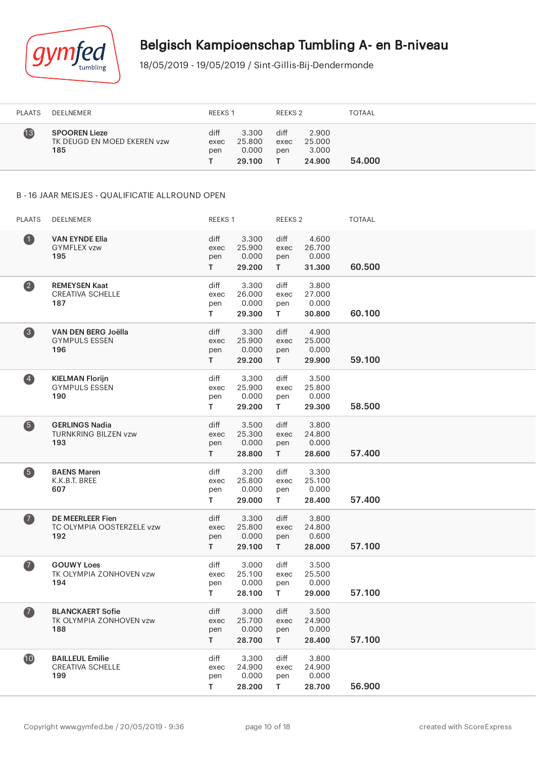

18/05/2019 - 19/05/2019 / Sint-Gillis-Bij-Dendermonde

| <b>PLAATS</b> | DEELNEMER                                                  | <b>REEKS1</b>       |                                    | <b>REEKS 2</b>      |                                    | TOTAAL |
|---------------|------------------------------------------------------------|---------------------|------------------------------------|---------------------|------------------------------------|--------|
| 13            | <b>SPOOREN Lieze</b><br>TK DEUGD EN MOED EKEREN vzw<br>185 | diff<br>exec<br>pen | 3.300<br>25.800<br>0.000<br>29.100 | diff<br>exec<br>pen | 2.900<br>25,000<br>3.000<br>24.900 | 54.000 |

#### B - 16 JAAR MEISJES - QUALIFICATIE ALLROUND OPEN

| <b>PLAATS</b>    | DEELNEMER                                                   | REEKS 1                   |                                    | REEKS <sub>2</sub>        |                                    | <b>TOTAAL</b> |
|------------------|-------------------------------------------------------------|---------------------------|------------------------------------|---------------------------|------------------------------------|---------------|
| $\bullet$        | <b>VAN EYNDE Ella</b><br><b>GYMFLEX vzw</b><br>195          | diff<br>exec<br>pen<br>T  | 3.300<br>25.900<br>0.000<br>29.200 | diff<br>exec<br>pen<br>T. | 4.600<br>26.700<br>0.000<br>31.300 | 60.500        |
| $\boldsymbol{2}$ | <b>REMEYSEN Kaat</b><br><b>CREATIVA SCHELLE</b><br>187      | diff<br>exec<br>pen<br>T. | 3.300<br>26.000<br>0.000<br>29.300 | diff<br>exec<br>pen<br>T. | 3.800<br>27.000<br>0.000<br>30.800 | 60.100        |
| 3                | VAN DEN BERG Joëlla<br><b>GYMPULS ESSEN</b><br>196          | diff<br>exec<br>pen<br>T. | 3.300<br>25.900<br>0.000<br>29.200 | diff<br>exec<br>pen<br>T. | 4.900<br>25.000<br>0.000<br>29.900 | 59.100        |
| $\overline{4}$   | <b>KIELMAN Florijn</b><br><b>GYMPULS ESSEN</b><br>190       | diff<br>exec<br>pen<br>T. | 3.300<br>25.900<br>0.000<br>29.200 | diff<br>exec<br>pen<br>T. | 3.500<br>25.800<br>0.000<br>29.300 | 58.500        |
| 6                | <b>GERLINGS Nadia</b><br><b>TURNKRING BILZEN vzw</b><br>193 | diff<br>exec<br>pen<br>T. | 3.500<br>25.300<br>0.000<br>28.800 | diff<br>exec<br>pen<br>T. | 3.800<br>24.800<br>0.000<br>28.600 | 57.400        |
| 6                | <b>BAENS Maren</b><br>K.K.B.T. BREE<br>607                  | diff<br>exec<br>pen<br>T. | 3.200<br>25.800<br>0.000<br>29.000 | diff<br>exec<br>pen<br>T. | 3.300<br>25.100<br>0.000<br>28.400 | 57.400        |
| $\bullet$        | <b>DE MEERLEER Fien</b><br>TC OLYMPIA OOSTERZELE vzw<br>192 | diff<br>exec<br>pen<br>T. | 3.300<br>25.800<br>0.000<br>29.100 | diff<br>exec<br>pen<br>T. | 3.800<br>24.800<br>0.600<br>28.000 | 57.100        |
| $\bullet$        | <b>GOUWY Loes</b><br>TK OLYMPIA ZONHOVEN vzw<br>194         | diff<br>exec<br>pen<br>T. | 3.000<br>25.100<br>0.000<br>28.100 | diff<br>exec<br>pen<br>T. | 3.500<br>25.500<br>0.000<br>29.000 | 57.100        |
| $\bullet$        | <b>BLANCKAERT Sofie</b><br>TK OLYMPIA ZONHOVEN vzw<br>188   | diff<br>exec<br>pen<br>T. | 3.000<br>25.700<br>0.000<br>28.700 | diff<br>exec<br>pen<br>T. | 3.500<br>24.900<br>0.000<br>28.400 | 57.100        |
| 10               | <b>BAILLEUL Emilie</b><br>CREATIVA SCHELLE<br>199           | diff<br>exec<br>pen<br>T. | 3.300<br>24.900<br>0.000<br>28.200 | diff<br>exec<br>pen<br>T. | 3.800<br>24.900<br>0.000<br>28.700 | 56.900        |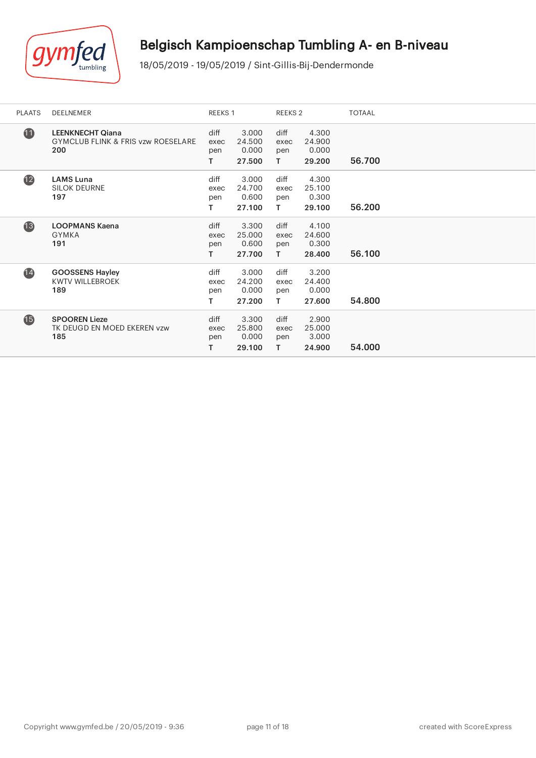

| <b>PLAATS</b>   | <b>DEELNEMER</b>                                                                | REEKS 1                   |                                    | REEKS <sub>2</sub>        |                                    | <b>TOTAAL</b> |
|-----------------|---------------------------------------------------------------------------------|---------------------------|------------------------------------|---------------------------|------------------------------------|---------------|
| $\mathbf{u}$    | <b>LEENKNECHT Qiana</b><br><b>GYMCLUB FLINK &amp; FRIS vzw ROESELARE</b><br>200 | diff<br>exec<br>pen<br>T. | 3.000<br>24.500<br>0.000<br>27.500 | diff<br>exec<br>pen<br>T. | 4.300<br>24.900<br>0.000<br>29.200 | 56.700        |
| $\overline{12}$ | <b>LAMS Luna</b><br><b>SILOK DEURNE</b><br>197                                  | diff<br>exec<br>pen<br>T. | 3.000<br>24.700<br>0.600<br>27.100 | diff<br>exec<br>pen<br>T. | 4.300<br>25.100<br>0.300<br>29.100 | 56.200        |
| 13              | <b>LOOPMANS Kaena</b><br><b>GYMKA</b><br>191                                    | diff<br>exec<br>pen<br>T. | 3.300<br>25.000<br>0.600<br>27.700 | diff<br>exec<br>pen<br>T. | 4.100<br>24.600<br>0.300<br>28,400 | 56.100        |
| $\overline{14}$ | <b>GOOSSENS Hayley</b><br><b>KWTV WILLEBROEK</b><br>189                         | diff<br>exec<br>pen<br>T. | 3.000<br>24.200<br>0.000<br>27.200 | diff<br>exec<br>pen<br>T. | 3.200<br>24.400<br>0.000<br>27.600 | 54.800        |
| $\bullet$       | <b>SPOOREN Lieze</b><br>TK DEUGD EN MOED EKEREN vzw<br>185                      | diff<br>exec<br>pen<br>T. | 3.300<br>25.800<br>0.000<br>29.100 | diff<br>exec<br>pen<br>T. | 2.900<br>25.000<br>3.000<br>24.900 | 54.000        |
|                 |                                                                                 |                           |                                    |                           |                                    |               |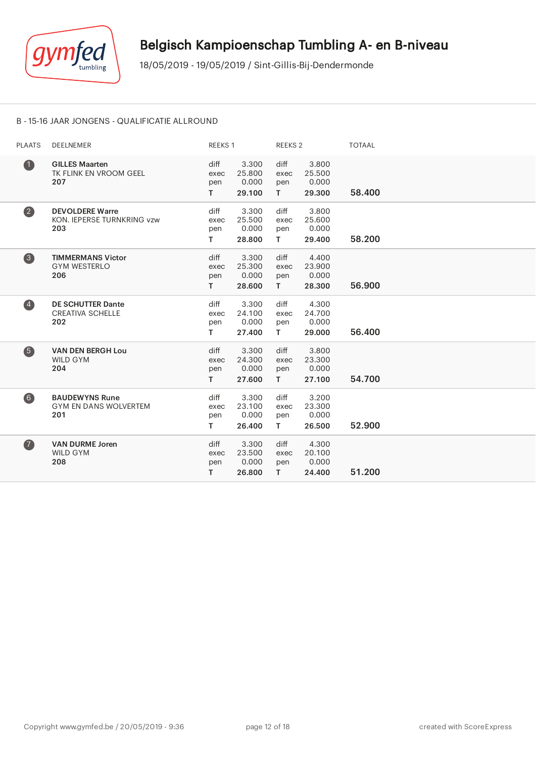

### B - 15-16 JAAR JONGENS - QUALIFICATIE ALLROUND

| <b>PLAATS</b>  | DEELNEMER                                                    | REEKS 1                   |                                    | REEKS <sub>2</sub>                  |                                    | <b>TOTAAL</b> |
|----------------|--------------------------------------------------------------|---------------------------|------------------------------------|-------------------------------------|------------------------------------|---------------|
| $\bullet$      | <b>GILLES Maarten</b><br>TK FLINK EN VROOM GEEL<br>207       | diff<br>exec<br>pen<br>T. | 3.300<br>25.800<br>0.000<br>29.100 | diff<br>exec<br>pen<br>T            | 3.800<br>25.500<br>0.000<br>29.300 | 58.400        |
| 2              | <b>DEVOLDERE Warre</b><br>KON. IEPERSE TURNKRING vzw<br>203  | diff<br>exec<br>pen<br>T. | 3.300<br>25.500<br>0.000<br>28.800 | diff<br>exec<br>pen<br>T.           | 3.800<br>25.600<br>0.000<br>29.400 | 58.200        |
| 8              | <b>TIMMERMANS Victor</b><br><b>GYM WESTERLO</b><br>206       | diff<br>exec<br>pen<br>T. | 3.300<br>25.300<br>0.000<br>28.600 | diff<br>exec<br>pen<br>$\mathsf{T}$ | 4.400<br>23.900<br>0.000<br>28.300 | 56.900        |
| $\overline{4}$ | <b>DE SCHUTTER Dante</b><br><b>CREATIVA SCHELLE</b><br>202   | diff<br>exec<br>pen<br>T. | 3.300<br>24.100<br>0.000<br>27.400 | diff<br>exec<br>pen<br>T.           | 4.300<br>24.700<br>0.000<br>29.000 | 56.400        |
| 6              | <b>VAN DEN BERGH Lou</b><br><b>WILD GYM</b><br>204           | diff<br>exec<br>pen<br>T. | 3.300<br>24.300<br>0.000<br>27.600 | diff<br>exec<br>pen<br>T.           | 3.800<br>23.300<br>0.000<br>27.100 | 54.700        |
| 6              | <b>BAUDEWYNS Rune</b><br><b>GYM EN DANS WOLVERTEM</b><br>201 | diff<br>exec<br>pen<br>T. | 3.300<br>23.100<br>0.000<br>26.400 | diff<br>exec<br>pen<br>T.           | 3.200<br>23.300<br>0.000<br>26.500 | 52.900        |
| $\bullet$      | <b>VAN DURME Joren</b><br><b>WILD GYM</b><br>208             | diff<br>exec<br>pen<br>T. | 3.300<br>23.500<br>0.000<br>26.800 | diff<br>exec<br>pen<br>T.           | 4.300<br>20.100<br>0.000<br>24.400 | 51.200        |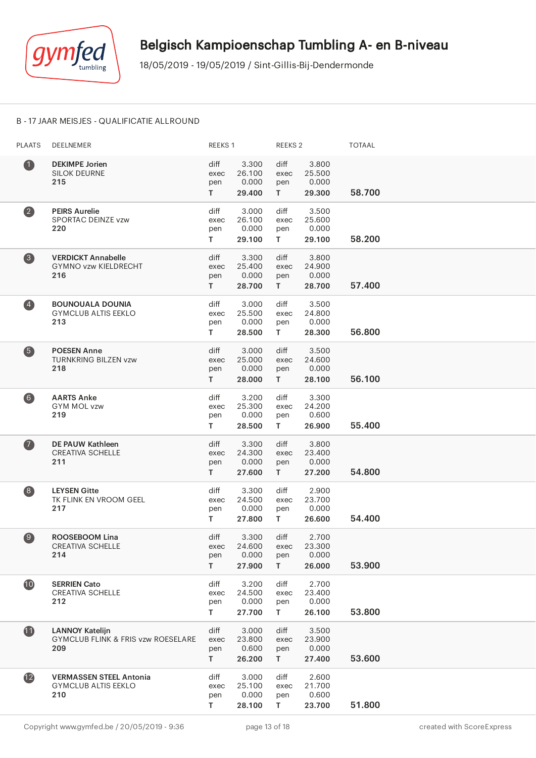

### B - 17 JAAR MEISJES - QUALIFICATIE ALLROUND

| <b>PLAATS</b>           | DEELNEMER                                                                      | <b>REEKS 1</b>            |                                    | <b>REEKS 2</b>            |                                    | <b>TOTAAL</b> |
|-------------------------|--------------------------------------------------------------------------------|---------------------------|------------------------------------|---------------------------|------------------------------------|---------------|
| $\bf{O}$                | <b>DEKIMPE Jorien</b><br><b>SILOK DEURNE</b><br>215                            | diff<br>exec<br>pen<br>T. | 3.300<br>26.100<br>0.000<br>29.400 | diff<br>exec<br>pen<br>T. | 3.800<br>25.500<br>0.000<br>29.300 | 58.700        |
| $\overline{\mathbf{2}}$ | <b>PEIRS Aurelie</b><br>SPORTAC DEINZE vzw<br>220                              | diff<br>exec<br>pen<br>T. | 3.000<br>26.100<br>0.000<br>29.100 | diff<br>exec<br>pen<br>T. | 3.500<br>25.600<br>0.000<br>29.100 | 58.200        |
| 8                       | <b>VERDICKT Annabelle</b><br><b>GYMNO vzw KIELDRECHT</b><br>216                | diff<br>exec<br>pen<br>T. | 3.300<br>25.400<br>0.000<br>28.700 | diff<br>exec<br>pen<br>T. | 3.800<br>24.900<br>0.000<br>28.700 | 57.400        |
| $\left( 4\right)$       | <b>BOUNOUALA DOUNIA</b><br><b>GYMCLUB ALTIS EEKLO</b><br>213                   | diff<br>exec<br>pen<br>T. | 3.000<br>25.500<br>0.000<br>28.500 | diff<br>exec<br>pen<br>T. | 3.500<br>24.800<br>0.000<br>28.300 | 56.800        |
| 6                       | <b>POESEN Anne</b><br><b>TURNKRING BILZEN vzw</b><br>218                       | diff<br>exec<br>pen<br>T. | 3.000<br>25.000<br>0.000<br>28.000 | diff<br>exec<br>pen<br>T. | 3.500<br>24.600<br>0.000<br>28.100 | 56.100        |
| $\bullet$               | <b>AARTS Anke</b><br><b>GYM MOL vzw</b><br>219                                 | diff<br>exec<br>pen<br>T. | 3.200<br>25.300<br>0.000<br>28.500 | diff<br>exec<br>pen<br>T. | 3.300<br>24.200<br>0.600<br>26.900 | 55.400        |
| $\bullet$               | <b>DE PAUW Kathleen</b><br><b>CREATIVA SCHELLE</b><br>211                      | diff<br>exec<br>pen<br>T. | 3.300<br>24.300<br>0.000<br>27.600 | diff<br>exec<br>pen<br>T. | 3.800<br>23.400<br>0.000<br>27.200 | 54.800        |
| $\left( 8\right)$       | <b>LEYSEN Gitte</b><br>TK FLINK EN VROOM GEEL<br>217                           | diff<br>exec<br>pen<br>T. | 3.300<br>24.500<br>0.000<br>27.800 | diff<br>exec<br>pen<br>T. | 2.900<br>23.700<br>0.000<br>26.600 | 54.400        |
| $\left( 9\right)$       | <b>ROOSEBOOM Lina</b><br><b>CREATIVA SCHELLE</b><br>214                        | diff<br>exec<br>pen<br>T. | 3.300<br>24.600<br>0.000<br>27.900 | diff<br>exec<br>pen<br>T. | 2.700<br>23.300<br>0.000<br>26.000 | 53.900        |
| 10                      | <b>SERRIEN Cato</b><br>CREATIVA SCHELLE<br>212                                 | diff<br>exec<br>pen<br>T. | 3.200<br>24.500<br>0.000<br>27.700 | diff<br>exec<br>pen<br>T. | 2.700<br>23.400<br>0.000<br>26.100 | 53.800        |
| 11                      | <b>LANNOY Katelijn</b><br><b>GYMCLUB FLINK &amp; FRIS vzw ROESELARE</b><br>209 | diff<br>exec<br>pen<br>T. | 3.000<br>23.800<br>0.600<br>26.200 | diff<br>exec<br>pen<br>T. | 3.500<br>23.900<br>0.000<br>27.400 | 53.600        |
| $\overline{12}$         | <b>VERMASSEN STEEL Antonia</b><br><b>GYMCLUB ALTIS EEKLO</b><br>210            | diff<br>exec<br>pen<br>T. | 3.000<br>25.100<br>0.000<br>28.100 | diff<br>exec<br>pen<br>T. | 2.600<br>21.700<br>0.600<br>23.700 | 51.800        |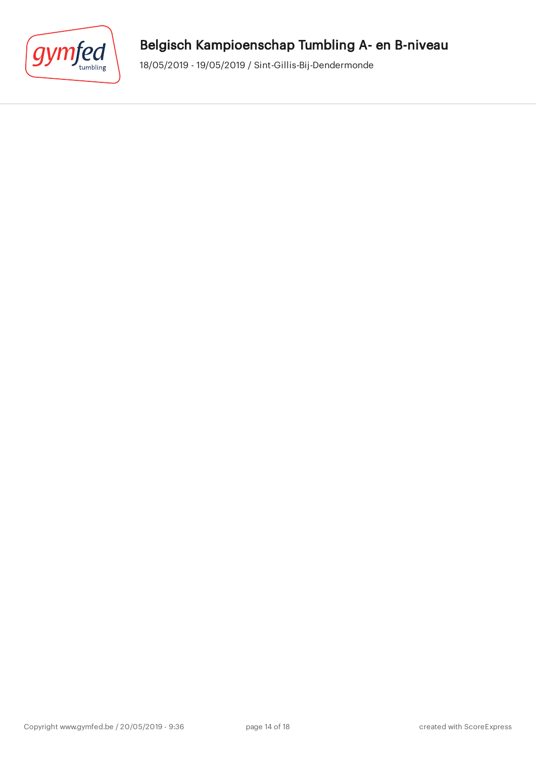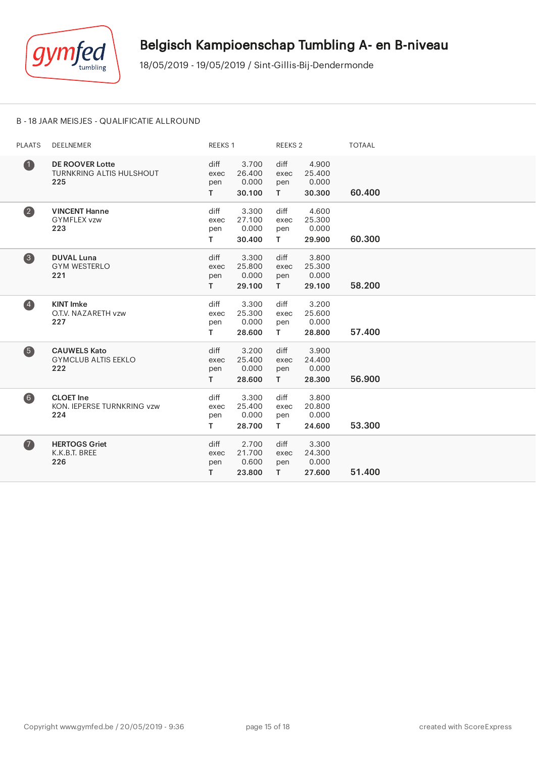

18/05/2019 - 19/05/2019 / Sint-Gillis-Bij-Dendermonde

#### B - 18 JAAR MEISJES - QUALIFICATIE ALLROUND

| <b>PLAATS</b>           | DEELNEMER                                                        | REEKS 1                   |                                    | REEKS <sub>2</sub>                  |                                    | <b>TOTAAL</b> |
|-------------------------|------------------------------------------------------------------|---------------------------|------------------------------------|-------------------------------------|------------------------------------|---------------|
| $\bullet$               | <b>DE ROOVER Lotte</b><br><b>TURNKRING ALTIS HULSHOUT</b><br>225 | diff<br>exec<br>pen<br>T. | 3.700<br>26.400<br>0.000<br>30.100 | diff<br>exec<br>pen<br>T            | 4.900<br>25.400<br>0.000<br>30.300 | 60.400        |
| $\overline{\mathbf{2}}$ | <b>VINCENT Hanne</b><br><b>GYMFLEX vzw</b><br>223                | diff<br>exec<br>pen<br>T. | 3.300<br>27.100<br>0.000<br>30.400 | diff<br>exec<br>pen<br>T.           | 4.600<br>25.300<br>0.000<br>29.900 | 60.300        |
| 8                       | <b>DUVAL Luna</b><br><b>GYM WESTERLO</b><br>221                  | diff<br>exec<br>pen<br>T. | 3.300<br>25.800<br>0.000<br>29.100 | diff<br>exec<br>pen<br>T            | 3.800<br>25.300<br>0.000<br>29.100 | 58.200        |
| $\overline{\mathbf{A}}$ | <b>KINT Imke</b><br>O.T.V. NAZARETH vzw<br>227                   | diff<br>exec<br>pen<br>T. | 3.300<br>25.300<br>0.000<br>28.600 | diff<br>exec<br>pen<br>T.           | 3.200<br>25.600<br>0.000<br>28.800 | 57.400        |
| 6                       | <b>CAUWELS Kato</b><br><b>GYMCLUB ALTIS EEKLO</b><br>222         | diff<br>exec<br>pen<br>T. | 3.200<br>25.400<br>0.000<br>28.600 | diff<br>exec<br>pen<br>T            | 3.900<br>24.400<br>0.000<br>28.300 | 56.900        |
| 6                       | <b>CLOET</b> Ine<br>KON. IEPERSE TURNKRING vzw<br>224            | diff<br>exec<br>pen<br>T. | 3.300<br>25.400<br>0.000<br>28.700 | diff<br>exec<br>pen<br>T.           | 3.800<br>20.800<br>0.000<br>24.600 | 53.300        |
| $\bullet$               | <b>HERTOGS Griet</b><br>K.K.B.T. BREE<br>226                     | diff<br>exec<br>pen<br>Τ  | 2.700<br>21.700<br>0.600<br>23.800 | diff<br>exec<br>pen<br>$\mathsf{T}$ | 3.300<br>24.300<br>0.000<br>27.600 | 51.400        |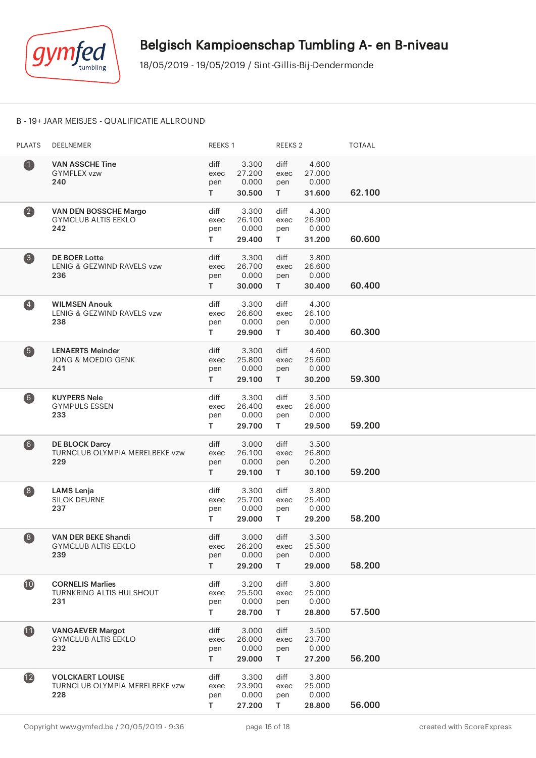

### B - 19+ JAAR MEISJES - QUALIFICATIE ALLROUND

| <b>PLAATS</b>           | DEELNEMER                                                        | REEKS 1                             |                                    | REEKS <sub>2</sub>        |                                    | <b>TOTAAL</b> |
|-------------------------|------------------------------------------------------------------|-------------------------------------|------------------------------------|---------------------------|------------------------------------|---------------|
| $\bf 0$                 | <b>VAN ASSCHE Tine</b><br><b>GYMFLEX vzw</b><br>240              | diff<br>exec<br>pen<br>T.           | 3.300<br>27.200<br>0.000<br>30.500 | diff<br>exec<br>pen<br>T. | 4.600<br>27.000<br>0.000<br>31.600 | 62.100        |
| $\overline{\mathbf{2}}$ | VAN DEN BOSSCHE Margo<br><b>GYMCLUB ALTIS EEKLO</b><br>242       | diff<br>exec<br>pen<br>T.           | 3.300<br>26.100<br>0.000<br>29.400 | diff<br>exec<br>pen<br>T. | 4.300<br>26.900<br>0.000<br>31.200 | 60.600        |
| 8                       | <b>DE BOER Lotte</b><br>LENIG & GEZWIND RAVELS vzw<br>236        | diff<br>exec<br>pen<br>T.           | 3.300<br>26.700<br>0.000<br>30.000 | diff<br>exec<br>pen<br>T. | 3.800<br>26.600<br>0.000<br>30.400 | 60.400        |
| $\overline{4}$          | <b>WILMSEN Anouk</b><br>LENIG & GEZWIND RAVELS vzw<br>238        | diff<br>exec<br>pen<br>$\mathsf{T}$ | 3.300<br>26.600<br>0.000<br>29.900 | diff<br>exec<br>pen<br>T. | 4.300<br>26.100<br>0.000<br>30.400 | 60.300        |
| 6                       | <b>LENAERTS Meinder</b><br><b>JONG &amp; MOEDIG GENK</b><br>241  | diff<br>exec<br>pen<br>T.           | 3.300<br>25.800<br>0.000<br>29.100 | diff<br>exec<br>pen<br>T. | 4.600<br>25.600<br>0.000<br>30.200 | 59.300        |
| 6)                      | <b>KUYPERS Nele</b><br><b>GYMPULS ESSEN</b><br>233               | diff<br>exec<br>pen<br>T.           | 3.300<br>26.400<br>0.000<br>29.700 | diff<br>exec<br>pen<br>T. | 3.500<br>26.000<br>0.000<br>29.500 | 59.200        |
| $\bullet$               | <b>DE BLOCK Darcy</b><br>TURNCLUB OLYMPIA MERELBEKE vzw<br>229   | diff<br>exec<br>pen<br>$\mathsf{T}$ | 3.000<br>26.100<br>0.000<br>29.100 | diff<br>exec<br>pen<br>T. | 3.500<br>26.800<br>0.200<br>30.100 | 59.200        |
| $\left( 8\right)$       | <b>LAMS</b> Lenja<br><b>SILOK DEURNE</b><br>237                  | diff<br>exec<br>pen<br>T.           | 3.300<br>25.700<br>0.000<br>29.000 | diff<br>exec<br>pen<br>T. | 3.800<br>25.400<br>0.000<br>29.200 | 58.200        |
| $\bullet$               | <b>VAN DER BEKE Shandi</b><br><b>GYMCLUB ALTIS EEKLO</b><br>239  | diff<br>exec<br>pen<br>T.           | 3.000<br>26.200<br>0.000<br>29.200 | diff<br>exec<br>pen<br>T. | 3.500<br>25.500<br>0.000<br>29.000 | 58.200        |
| 10                      | <b>CORNELIS Marlies</b><br>TURNKRING ALTIS HULSHOUT<br>231       | diff<br>exec<br>pen<br>$\mathsf{T}$ | 3.200<br>25.500<br>0.000<br>28.700 | diff<br>exec<br>pen<br>T. | 3.800<br>25.000<br>0.000<br>28.800 | 57.500        |
| $\bf \bm 1$             | <b>VANGAEVER Margot</b><br><b>GYMCLUB ALTIS EEKLO</b><br>232     | diff<br>exec<br>pen<br>T.           | 3.000<br>26.000<br>0.000<br>29.000 | diff<br>exec<br>pen<br>T. | 3.500<br>23.700<br>0.000<br>27.200 | 56.200        |
| $\mathbf{12}$           | <b>VOLCKAERT LOUISE</b><br>TURNCLUB OLYMPIA MERELBEKE vzw<br>228 | diff<br>exec<br>pen<br>T.           | 3.300<br>23.900<br>0.000<br>27.200 | diff<br>exec<br>pen<br>T  | 3.800<br>25.000<br>0.000<br>28.800 | 56.000        |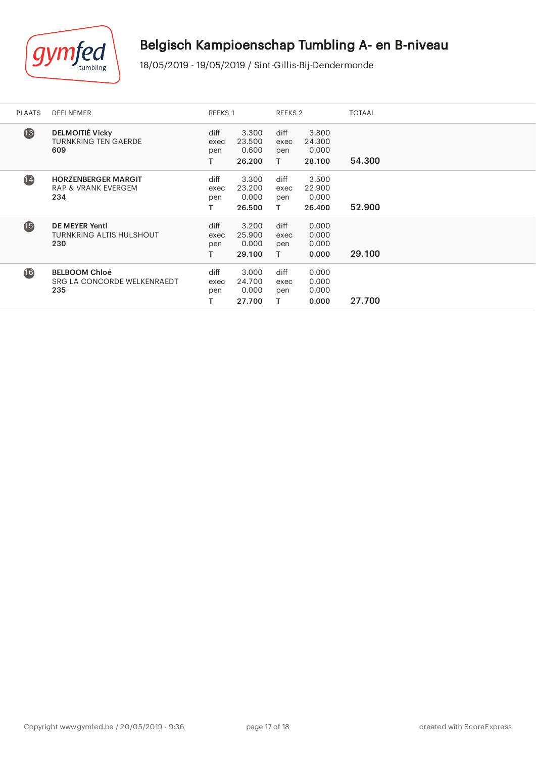

| <b>PLAATS</b>   | DEELNEMER                                             | REEKS 1      |                 | REEKS <sub>2</sub> |                 | <b>TOTAAL</b> |
|-----------------|-------------------------------------------------------|--------------|-----------------|--------------------|-----------------|---------------|
| 13              | <b>DELMOITIÉ Vicky</b><br><b>TURNKRING TEN GAERDE</b> | diff<br>exec | 3.300<br>23.500 | diff<br>exec       | 3.800<br>24.300 |               |
|                 | 609                                                   | pen          | 0.600           | pen                | 0.000           |               |
|                 |                                                       |              | 26.200          | T.                 | 28.100          | 54.300        |
| $\overline{14}$ | <b>HORZENBERGER MARGIT</b>                            | diff         | 3.300           | diff               | 3.500           |               |
|                 | <b>RAP &amp; VRANK EVERGEM</b>                        | exec         | 23.200          | exec               | 22.900          |               |
|                 | 234                                                   | pen          | 0.000           | pen                | 0.000           |               |
|                 |                                                       | Τ.           | 26.500          | T.                 | 26.400          | 52.900        |
| $\bullet$       | DE MEYER Yentl                                        | diff         | 3.200           | diff               | 0.000           |               |
|                 | <b>TURNKRING ALTIS HULSHOUT</b>                       | exec         | 25.900          | exec               | 0.000           |               |
|                 | 230                                                   | pen          | 0.000           | pen                | 0.000           |               |
|                 |                                                       |              | 29.100          | T                  | 0.000           | 29.100        |
| 16              | <b>BELBOOM Chloé</b>                                  | diff         | 3.000           | diff               | 0.000           |               |
|                 | SRG LA CONCORDE WELKENRAEDT                           | exec         | 24.700          | exec               | 0.000           |               |
|                 | 235                                                   | pen          | 0.000           | pen                | 0.000           |               |
|                 |                                                       |              | 27.700          | т                  | 0.000           | 27.700        |